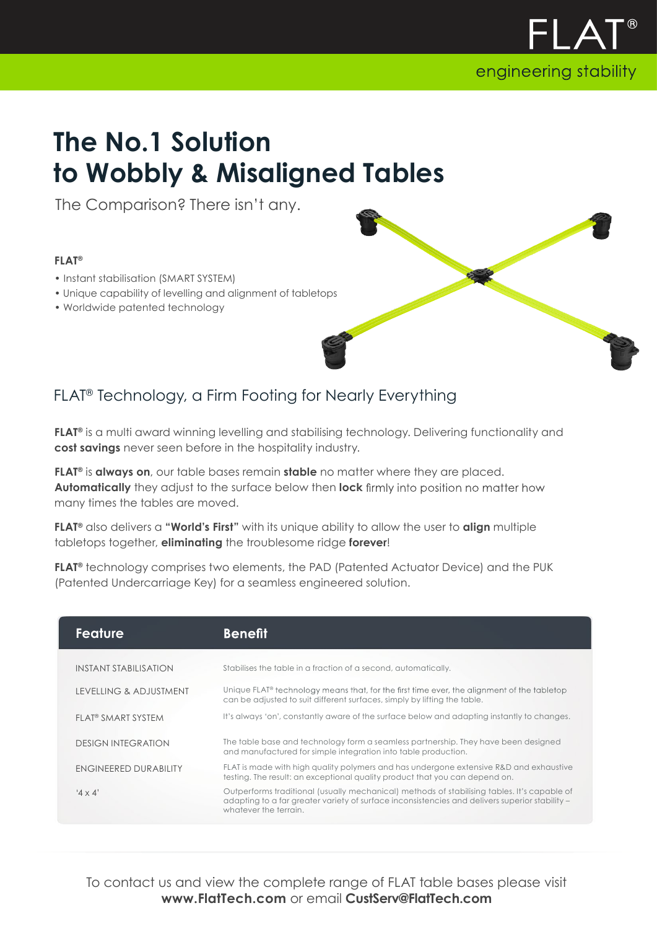

## **The No.1 Solution to Wobbly & Misaligned Tables**

The Comparison? There isn't any.

## **FLAT®**

- Instant stabilisation (SMART SYSTEM)
- Unique capability of levelling and alignment of tabletops
- Worldwide patented technology

## FLAT® Technology, a Firm Footing for Nearly Everything

**FLAT®** is a multi award winning levelling and stabilising technology. Delivering functionality and **cost savings** never seen before in the hospitality industry.

**FLAT®** is **always on**, our table bases remain **stable** no matter where they are placed. **Automatically** they adjust to the surface below then **lock** many times the tables are moved.

**FLAT®** also delivers a **"World's First"** with its unique ability to allow the user to **align** multiple tabletops together, **eliminating** the troublesome ridge **forever**!

**FLAT®** technology comprises two elements, the PAD (Patented Actuator Device) and the PUK (Patented Undercarriage Key) for a seamless engineered solution.

| <b>Feature</b>                 | <b>Benefit</b>                                                                                                                                                                                                         |
|--------------------------------|------------------------------------------------------------------------------------------------------------------------------------------------------------------------------------------------------------------------|
| INSTANT STABILIS ATION         | Stabilises the table in a fraction of a second, automatically.                                                                                                                                                         |
| LEVELLING & ADJUSTMENT         | Unique FLAT® technology means that, for the first time ever, the alignment of the tabletop<br>can be adjusted to suit different surfaces, simply by lifting the table.                                                 |
| FLAT <sup>®</sup> SMART SYSTEM | It's always 'on', constantly aware of the surface below and adapting instantly to changes.                                                                                                                             |
| <b>DESIGN INTEGRATION</b>      | The table base and technology form a seamless partnership. They have been designed<br>and manufactured for simple integration into table production.                                                                   |
| ENGINEERED DURABILITY          | FLAT is made with high quality polymers and has undergone extensive R&D and exhaustive<br>testing. The result: an exceptional quality product that you can depend on.                                                  |
| '4 $\times$ 4'                 | Outperforms traditional (usually mechanical) methods of stabilising tables. It's capable of<br>adapting to a far greater variety of surface inconsistencies and delivers superior stability -<br>whatever the terrain. |

To contact us and view the complete range of FLAT table bases please visit **www.FlatTech.com** or email **CustServ@FlatTech.com**